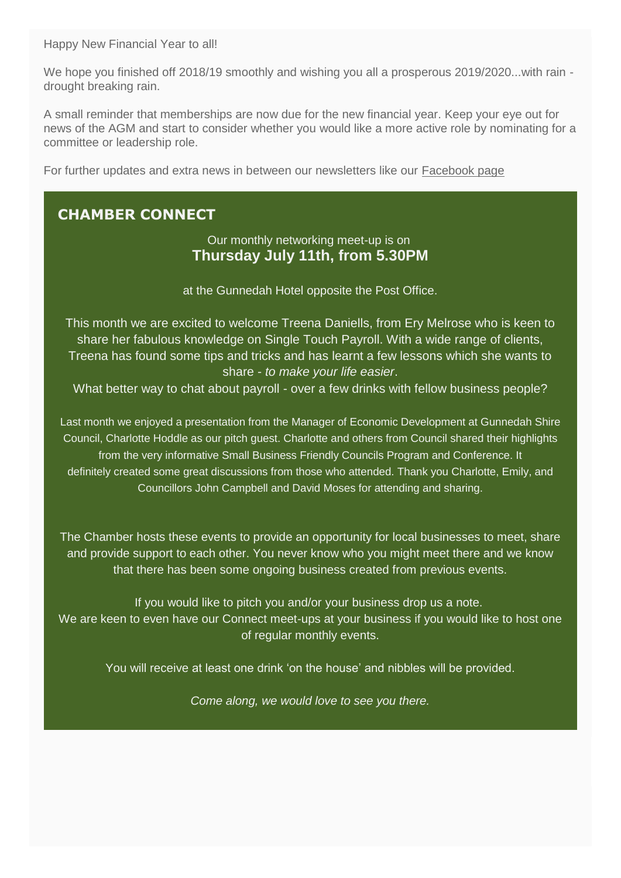We hope you finished off 2018/19 smoothly and wishing you all a prosperous 2019/2020...with rain drought breaking rain.

A small reminder that memberships are now due for the new financial year. Keep your eye out for news of the AGM and start to consider whether you would like a more active role by nominating for a committee or leadership role.

For further updates and extra news in between our newsletters like our [Facebook page](https://www.facebook.com/GunnedahChamber/)

# **CHAMBER CONNECT**

Our monthly networking meet-up is on **Thursday July 11th, from 5.30PM**

at the Gunnedah Hotel opposite the Post Office.

This month we are excited to welcome Treena Daniells, from Ery Melrose who is keen to share her fabulous knowledge on Single Touch Payroll. With a wide range of clients, Treena has found some tips and tricks and has learnt a few lessons which she wants to share - *to make your life easier*.

What better way to chat about payroll - over a few drinks with fellow business people?

Last month we enjoyed a presentation from the Manager of Economic Development at Gunnedah Shire Council, Charlotte Hoddle as our pitch guest. Charlotte and others from Council shared their highlights from the very informative Small Business Friendly Councils Program and Conference. It definitely created some great discussions from those who attended. Thank you Charlotte, Emily, and Councillors John Campbell and David Moses for attending and sharing.

The Chamber hosts these events to provide an opportunity for local businesses to meet, share and provide support to each other. You never know who you might meet there and we know that there has been some ongoing business created from previous events.

If you would like to pitch you and/or your business drop us a note. We are keen to even have our Connect meet-ups at your business if you would like to host one of regular monthly events.

You will receive at least one drink 'on the house' and nibbles will be provided.

*Come along, we would love to see you there.*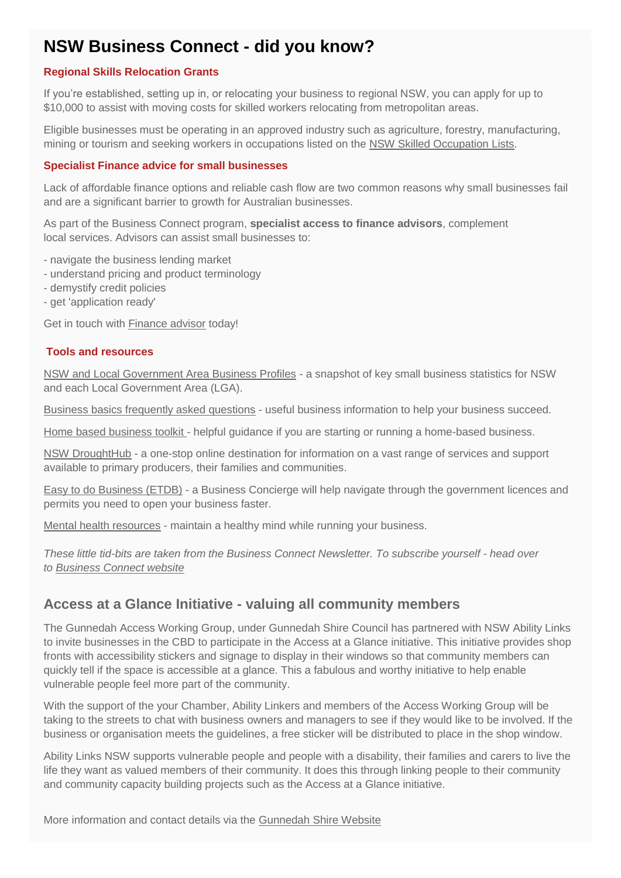# **NSW Business Connect - did you know?**

### **Regional Skills Relocation Grants**

If you're established, setting up in, or relocating your business to regional NSW, you can apply for up to \$10,000 to assist with moving costs for skilled workers relocating from metropolitan areas.

Eligible businesses must be operating in an approved industry such as agriculture, forestry, manufacturing, mining or tourism and seeking workers in occupations listed on the [NSW Skilled Occupation Lists.](https://businessconnect.cmail19.com/t/d-l-pykdhit-jthttkskr-p/)

#### **Specialist Finance advice for small businesses**

Lack of affordable finance options and reliable cash flow are two common reasons why small businesses fail and are a significant barrier to growth for Australian businesses.

As part of the Business Connect program, **specialist access to finance advisors**, complement local services. Advisors can assist small businesses to:

- navigate the business lending market
- understand pricing and product terminology
- demystify credit policies
- get 'application ready'

Get in touch with [Finance advisor](https://businessconnect.cmail19.com/t/d-l-pykdhit-jthttkskr-m/) today!

#### **Tools and resources**

[NSW and Local Government Area Business Profiles](https://businessconnect.cmail19.com/t/d-l-pykdhit-jthttkskr-c/) - a snapshot of key small business statistics for NSW and each Local Government Area (LGA).

[Business basics frequently asked questions](https://businessconnect.cmail19.com/t/d-l-pykdhit-jthttkskr-q/) - useful business information to help your business succeed.

[Home based business toolkit](https://businessconnect.cmail19.com/t/d-l-pykdhit-jthttkskr-a/) - helpful guidance if you are starting or running a home-based business.

[NSW DroughtHub](https://businessconnect.cmail19.com/t/d-l-pykdhit-jthttkskr-f/) - a one-stop online destination for information on a vast range of services and support available to primary producers, their families and communities.

[Easy to do Business \(ETDB\)](https://businessconnect.cmail19.com/t/d-l-pykdhit-jthttkskr-z/) - a Business Concierge will help navigate through the government licences and permits you need to open your business faster.

[Mental health resources](https://www.safework.nsw.gov.au/safety-starts-here/mental-health-at-work-the-basics/mental-health-@-work/what-you-can-do/i-am-a-manager/small-business-tools-and-resources) - maintain a healthy mind while running your business.

*These little tid-bits are taken from the Business Connect Newsletter. To subscribe yourself - head over to [Business Connect website](https://www.industry.nsw.gov.au/businessconnect/)*

## **Access at a Glance Initiative - valuing all community members**

The Gunnedah Access Working Group, under Gunnedah Shire Council has partnered with NSW Ability Links to invite businesses in the CBD to participate in the Access at a Glance initiative. This initiative provides shop fronts with accessibility stickers and signage to display in their windows so that community members can quickly tell if the space is accessible at a glance. This a fabulous and worthy initiative to help enable vulnerable people feel more part of the community.

With the support of the your Chamber, Ability Linkers and members of the Access Working Group will be taking to the streets to chat with business owners and managers to see if they would like to be involved. If the business or organisation meets the guidelines, a free sticker will be distributed to place in the shop window.

Ability Links NSW supports vulnerable people and people with a disability, their families and carers to live the life they want as valued members of their community. It does this through linking people to their community and community capacity building projects such as the Access at a Glance initiative.

More information and contact details via the [Gunnedah Shire Website](http://www.gunnedah.nsw.gov.au/index.php/council/keep-in-touch/latest-news-media/item/1658-access-friendly-businesses-to-be-identified-at-a-glance)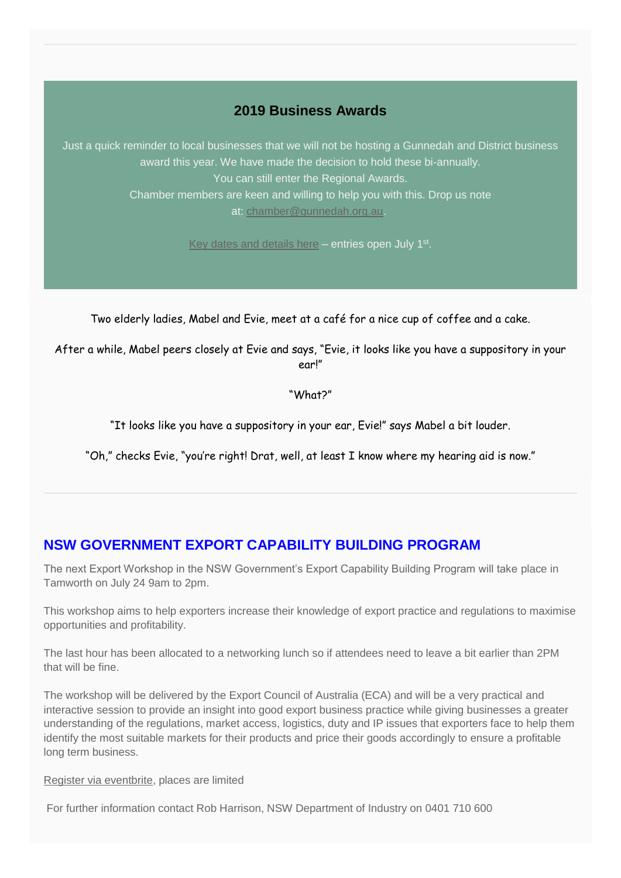## **2019 Business Awards**

Just a quick reminder to local businesses that we will not be hosting a Gunnedah and District business award this year. We have made the decision to hold these bi-annually. You can still enter the Regional Awards. Chamber members are keen and willing to help you with this. Drop us note at: [chamber@gunnedah.org.au.](mailto:chamber@gunnedah.org.au)

[Key dates and details here](http://www.businessannualawards.com.au/Regions/New-England-North-West) - entries open July 1<sup>st</sup>.

Two elderly ladies, Mabel and Evie, meet at a café for a nice cup of coffee and a cake.

After a while, Mabel peers closely at Evie and says, "Evie, it looks like you have a suppository in your ear!"

"What?"

"It looks like you have a suppository in your ear, Evie!" says Mabel a bit louder.

"Oh," checks Evie, "you're right! Drat, well, at least I know where my hearing aid is now."

## **NSW GOVERNMENT EXPORT CAPABILITY BUILDING PROGRAM**

The next Export Workshop in the NSW Government's Export Capability Building Program will take place in Tamworth on July 24 9am to 2pm.

This workshop aims to help exporters increase their knowledge of export practice and regulations to maximise opportunities and profitability.

The last hour has been allocated to a networking lunch so if attendees need to leave a bit earlier than 2PM that will be fine.

The workshop will be delivered by the Export Council of Australia (ECA) and will be a very practical and interactive session to provide an insight into good export business practice while giving businesses a greater understanding of the regulations, market access, logistics, duty and IP issues that exporters face to help them identify the most suitable markets for their products and price their goods accordingly to ensure a profitable long term business.

[Register via eventbrite,](https://www.eventbrite.com.au/e/managing-your-exports-nsw-export-capability-program-tickets-64349552243) places are limited

For further information contact Rob Harrison, NSW Department of Industry on 0401 710 600